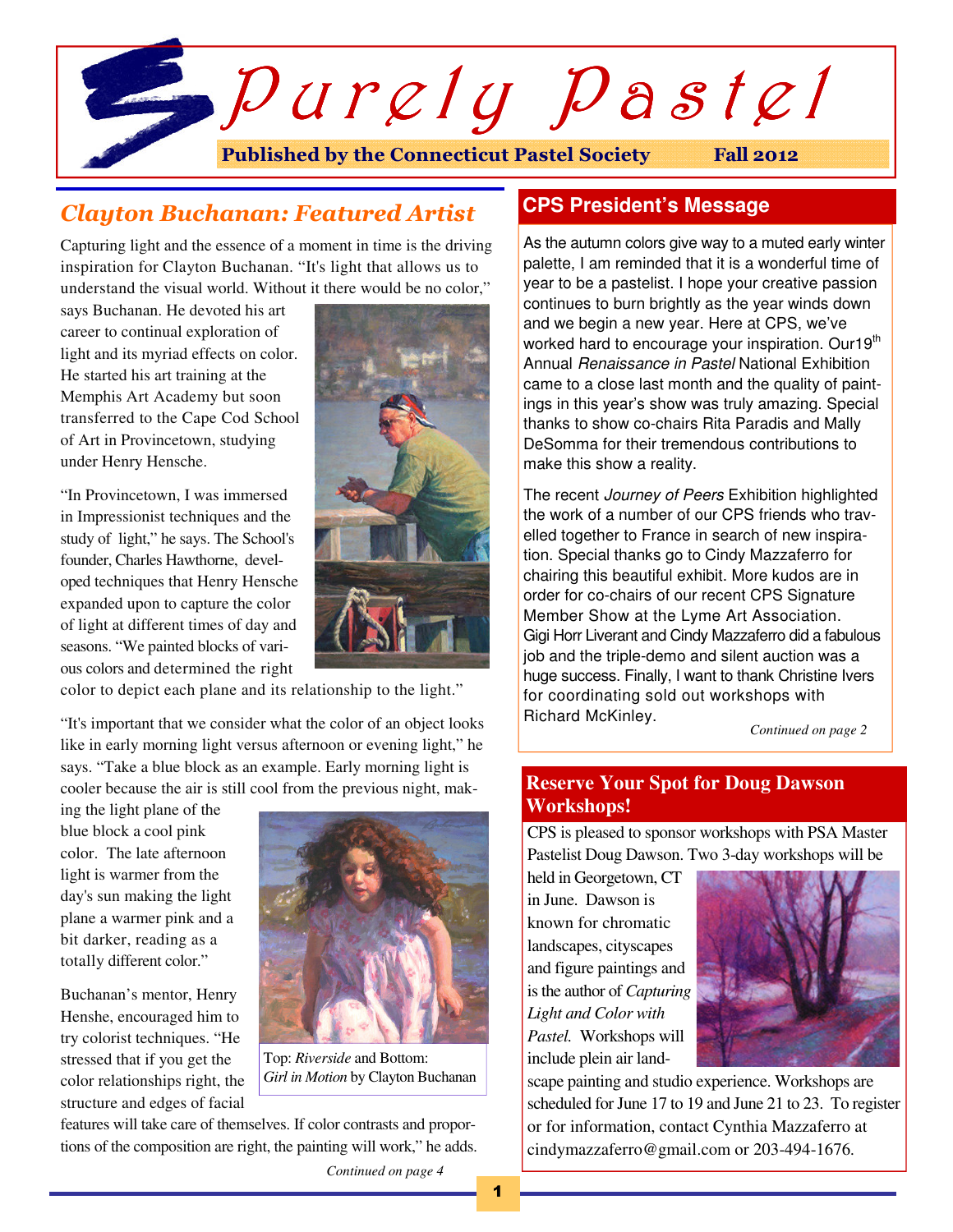

# Clayton Buchanan: Featured Artist

Capturing light and the essence of a moment in time is the driving inspiration for Clayton Buchanan. "It's light that allows us to understand the visual world. Without it there would be no color,"

says Buchanan. He devoted his art career to continual exploration of light and its myriad effects on color. He started his art training at the Memphis Art Academy but soon transferred to the Cape Cod School of Art in Provincetown, studying under Henry Hensche.

"In Provincetown, I was immersed in Impressionist techniques and the study of light," he says. The School's founder, Charles Hawthorne, developed techniques that Henry Hensche expanded upon to capture the color of light at different times of day and seasons. "We painted blocks of various colors and determined the right



color to depict each plane and its relationship to the light."

"It's important that we consider what the color of an object looks like in early morning light versus afternoon or evening light," he says. "Take a blue block as an example. Early morning light is cooler because the air is still cool from the previous night, mak-

ing the light plane of the blue block a cool pink color. The late afternoon light is warmer from the day's sun making the light plane a warmer pink and a bit darker, reading as a totally different color."

Buchanan's mentor, Henry Henshe, encouraged him to try colorist techniques. "He stressed that if you get the color relationships right, the structure and edges of facial



Top: *Riverside* and Bottom: *Girl in Motion* by Clayton Buchanan

features will take care of themselves. If color contrasts and proportions of the composition are right, the painting will work," he adds.

# **CPS President's Message**

As the autumn colors give way to a muted early winter palette, I am reminded that it is a wonderful time of year to be a pastelist. I hope your creative passion continues to burn brightly as the year winds down and we begin a new year. Here at CPS, we've worked hard to encourage your inspiration. Our19<sup>th</sup> Annual *Renaissance in Pastel* National Exhibition came to a close last month and the quality of paintings in this year's show was truly amazing. Special thanks to show co-chairs Rita Paradis and Mally DeSomma for their tremendous contributions to make this show a reality.

The recent *Journey of Peers* Exhibition highlighted the work of a number of our CPS friends who travelled together to France in search of new inspiration. Special thanks go to Cindy Mazzaferro for chairing this beautiful exhibit. More kudos are in order for co-chairs of our recent CPS Signature Member Show at the Lyme Art Association. Gigi Horr Liverant and Cindy Mazzaferro did a fabulous job and the triple-demo and silent auction was a huge success. Finally, I want to thank Christine Ivers for coordinating sold out workshops with Richard McKinley.

*Continued on page 2* 

## **Reserve Your Spot for Doug Dawson Workshops!**

CPS is pleased to sponsor workshops with PSA Master Pastelist Doug Dawson. Two 3-day workshops will be

held in Georgetown, CT in June. Dawson is known for chromatic landscapes, cityscapes and figure paintings and is the author of *Capturing Light and Color with Pastel.* Workshops will include plein air land-



scape painting and studio experience. Workshops are scheduled for June 17 to 19 and June 21 to 23. To register or for information, contact Cynthia Mazzaferro at cindymazzaferro@gmail.com or 203-494-1676.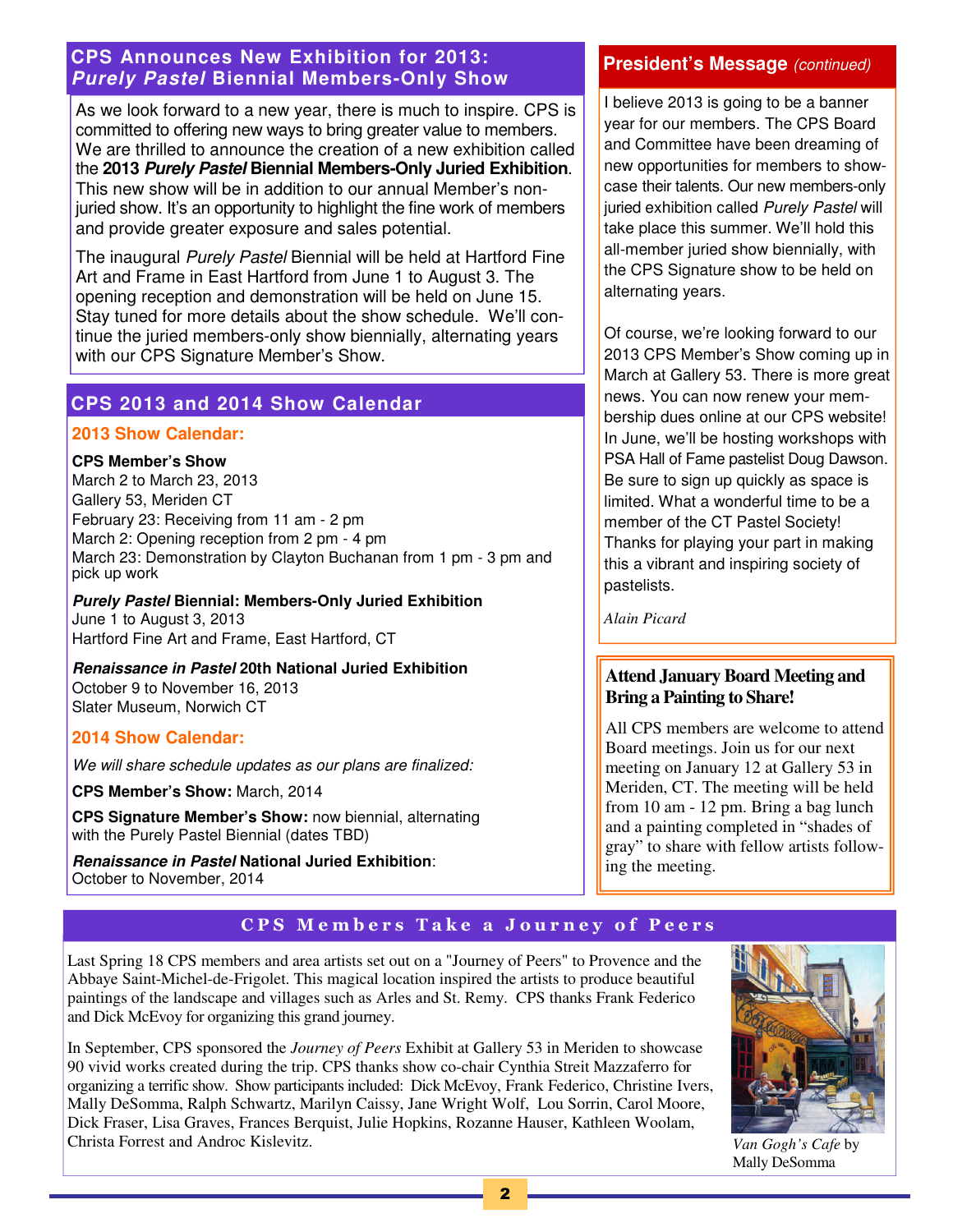## **CPS Announces New Exhibition for 2013: Purely Pastel Biennial Members-Only Show**

As we look forward to a new year, there is much to inspire. CPS is committed to offering new ways to bring greater value to members. We are thrilled to announce the creation of a new exhibition called the **2013 Purely Pastel Biennial Members-Only Juried Exhibition**. This new show will be in addition to our annual Member's nonjuried show. It's an opportunity to highlight the fine work of members and provide greater exposure and sales potential.

The inaugural Purely Pastel Biennial will be held at Hartford Fine Art and Frame in East Hartford from June 1 to August 3. The opening reception and demonstration will be held on June 15. Stay tuned for more details about the show schedule. We'll continue the juried members-only show biennially, alternating years with our CPS Signature Member's Show.

# **CPS 2013 and 2014 Show Calendar**

#### **2013 Show Calendar:**

#### **CPS Member's Show**

March 2 to March 23, 2013 Gallery 53, Meriden CT February 23: Receiving from 11 am - 2 pm March 2: Opening reception from 2 pm - 4 pm March 23: Demonstration by Clayton Buchanan from 1 pm - 3 pm and pick up work

## **Purely Pastel Biennial: Members-Only Juried Exhibition**  June 1 to August 3, 2013

Hartford Fine Art and Frame, East Hartford, CT

**Renaissance in Pastel 20th National Juried Exhibition**  October 9 to November 16, 2013 Slater Museum, Norwich CT

#### **2014 Show Calendar:**

We will share schedule updates as our plans are finalized:

**CPS Member's Show:** March, 2014

**CPS Signature Member's Show:** now biennial, alternating with the Purely Pastel Biennial (dates TBD)

**Renaissance in Pastel National Juried Exhibition**: October to November, 2014

## **President's Message** (continued)

I believe 2013 is going to be a banner year for our members. The CPS Board and Committee have been dreaming of new opportunities for members to showcase their talents. Our new members-only juried exhibition called Purely Pastel will take place this summer. We'll hold this all-member juried show biennially, with the CPS Signature show to be held on alternating years.

Of course, we're looking forward to our 2013 CPS Member's Show coming up in March at Gallery 53. There is more great news. You can now renew your membership dues online at our CPS website! In June, we'll be hosting workshops with PSA Hall of Fame pastelist Doug Dawson. Be sure to sign up quickly as space is limited. What a wonderful time to be a member of the CT Pastel Society! Thanks for playing your part in making this a vibrant and inspiring society of pastelists.

*Alain Picard* 

## **Attend January Board Meeting and Bring a Painting to Share!**

All CPS members are welcome to attend Board meetings. Join us for our next meeting on January 12 at Gallery 53 in Meriden, CT. The meeting will be held from 10 am - 12 pm. Bring a bag lunch and a painting completed in "shades of gray" to share with fellow artists following the meeting.

# CPS Members Take a Journey of Peers

Last Spring 18 CPS members and area artists set out on a "Journey of Peers" to Provence and the Abbaye Saint-Michel-de-Frigolet. This magical location inspired the artists to produce beautiful paintings of the landscape and villages such as Arles and St. Remy. CPS thanks Frank Federico and Dick McEvoy for organizing this grand journey.

In September, CPS sponsored the *Journey of Peers* Exhibit at Gallery 53 in Meriden to showcase 90 vivid works created during the trip. CPS thanks show co-chair Cynthia Streit Mazzaferro for organizing a terrific show. Show participants included: Dick McEvoy, Frank Federico, Christine Ivers, Mally DeSomma, Ralph Schwartz, Marilyn Caissy, Jane Wright Wolf, Lou Sorrin, Carol Moore, Dick Fraser, Lisa Graves, Frances Berquist, Julie Hopkins, Rozanne Hauser, Kathleen Woolam, Christa Forrest and Androc Kislevitz.



*Van Gogh's Cafe* by Mally DeSomma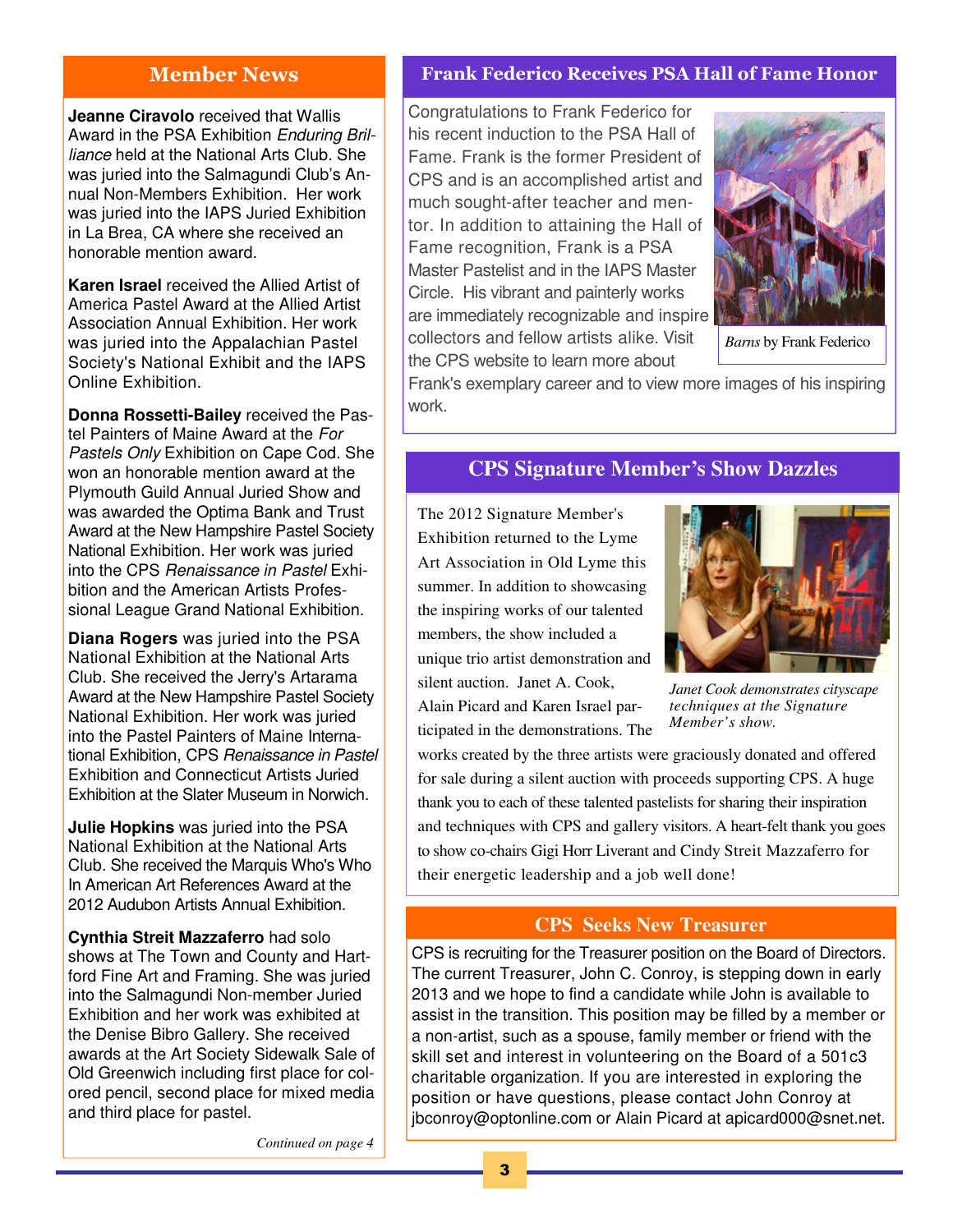## Member News

**Jeanne Ciravolo** received that Wallis Award in the PSA Exhibition Enduring Brilliance held at the National Arts Club. She was juried into the Salmagundi Club's Annual Non-Members Exhibition. Her work was juried into the IAPS Juried Exhibition in La Brea, CA where she received an honorable mention award.

**Karen Israel** received the Allied Artist of America Pastel Award at the Allied Artist Association Annual Exhibition. Her work was juried into the Appalachian Pastel Society's National Exhibit and the IAPS Online Exhibition.

**Donna Rossetti-Bailey** received the Pastel Painters of Maine Award at the For Pastels Only Exhibition on Cape Cod. She won an honorable mention award at the Plymouth Guild Annual Juried Show and was awarded the Optima Bank and Trust Award at the New Hampshire Pastel Society National Exhibition. Her work was juried into the CPS Renaissance in Pastel Exhibition and the American Artists Professional League Grand National Exhibition.

**Diana Rogers** was juried into the PSA National Exhibition at the National Arts Club. She received the Jerry's Artarama Award at the New Hampshire Pastel Society National Exhibition. Her work was juried into the Pastel Painters of Maine International Exhibition, CPS Renaissance in Pastel Exhibition and Connecticut Artists Juried Exhibition at the Slater Museum in Norwich.

**Julie Hopkins** was juried into the PSA National Exhibition at the National Arts Club. She received the Marquis Who's Who In American Art References Award at the 2012 Audubon Artists Annual Exhibition.

**Cynthia Streit Mazzaferro** had solo shows at The Town and County and Hartford Fine Art and Framing. She was juried into the Salmagundi Non-member Juried Exhibition and her work was exhibited at the Denise Bibro Gallery. She received awards at the Art Society Sidewalk Sale of Old Greenwich including first place for colored pencil, second place for mixed media and third place for pastel.

Frank Federico Receives PSA Hall of Fame Honor

Congratulations to Frank Federico for his recent induction to the PSA Hall of Fame. Frank is the former President of CPS and is an accomplished artist and much sought-after teacher and mentor. In addition to attaining the Hall of Fame recognition, Frank is a PSA Master Pastelist and in the IAPS Master Circle. His vibrant and painterly works are immediately recognizable and inspire collectors and fellow artists alike. Visit the CPS website to learn more about



*Barns* by Frank Federico

Frank's exemplary career and to view more images of his inspiring work.

# **CPS Signature Member's Show Dazzles**

The 2012 Signature Member's Exhibition returned to the Lyme Art Association in Old Lyme this summer. In addition to showcasing the inspiring works of our talented members, the show included a unique trio artist demonstration and silent auction. Janet A. Cook, Alain Picard and Karen Israel participated in the demonstrations. The



*Janet Cook demonstrates cityscape techniques at the Signature Member's show.* 

works created by the three artists were graciously donated and offered for sale during a silent auction with proceeds supporting CPS. A huge thank you to each of these talented pastelists for sharing their inspiration and techniques with CPS and gallery visitors. A heart-felt thank you goes to show co-chairs Gigi Horr Liverant and Cindy Streit Mazzaferro for their energetic leadership and a job well done!

## **CPS Seeks New Treasurer**

CPS is recruiting for the Treasurer position on the Board of Directors. The current Treasurer, John C. Conroy, is stepping down in early 2013 and we hope to find a candidate while John is available to assist in the transition. This position may be filled by a member or a non-artist, such as a spouse, family member or friend with the skill set and interest in volunteering on the Board of a 501c3 charitable organization. If you are interested in exploring the position or have questions, please contact John Conroy at jbconroy@optonline.com or Alain Picard at apicard000@snet.net.

*Continued on page 4*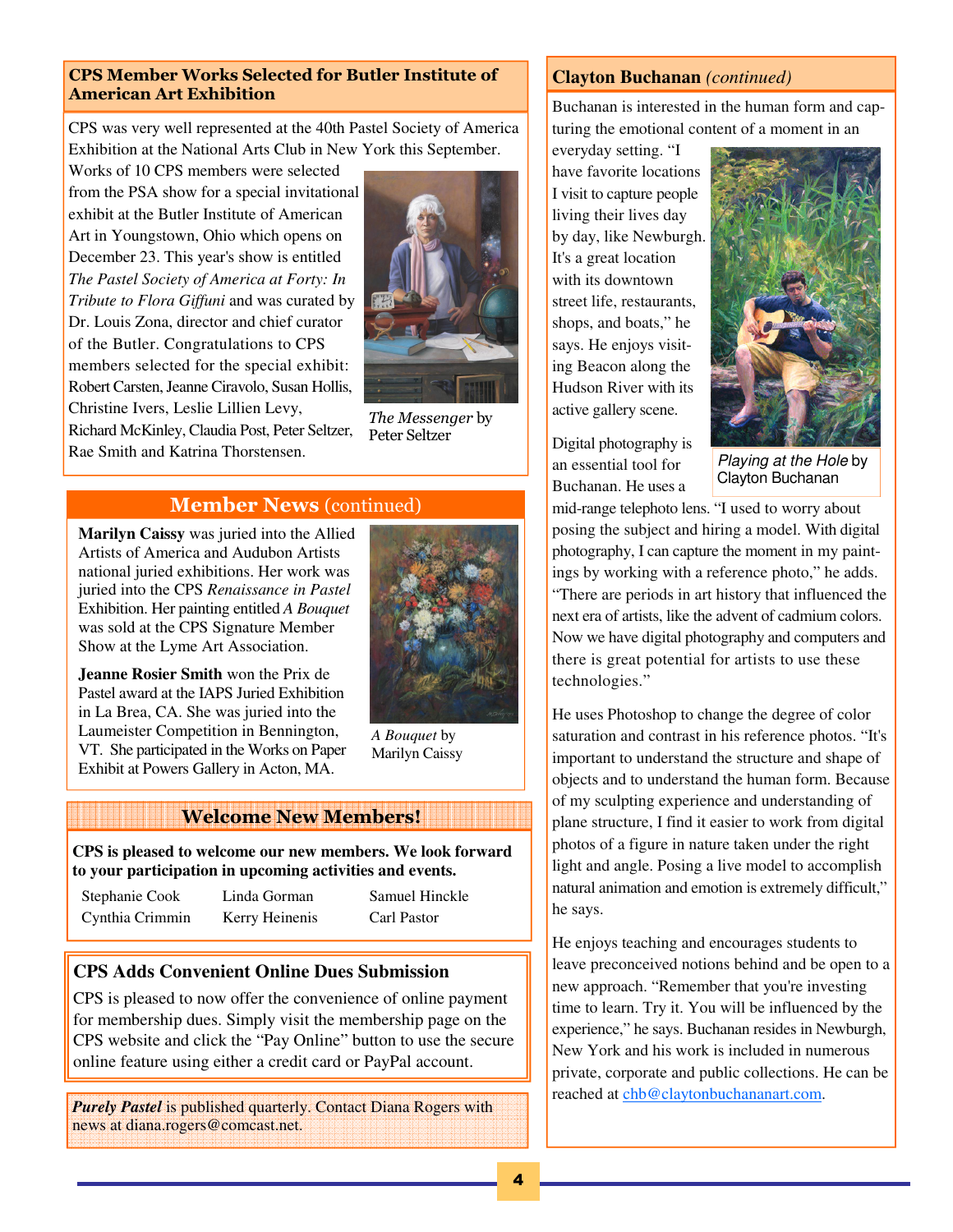#### CPS Member Works Selected for Butler Institute of American Art Exhibition

CPS was very well represented at the 40th Pastel Society of America Exhibition at the National Arts Club in New York this September.

Works of 10 CPS members were selected from the PSA show for a special invitational exhibit at the Butler Institute of American Art in Youngstown, Ohio which opens on December 23. This year's show is entitled *The Pastel Society of America at Forty: In Tribute to Flora Giffuni* and was curated by Dr. Louis Zona, director and chief curator of the Butler. Congratulations to CPS members selected for the special exhibit: Robert Carsten, Jeanne Ciravolo, Susan Hollis, Christine Ivers, Leslie Lillien Levy, Richard McKinley, Claudia Post, Peter Seltzer,



The Messenger by Peter Seltzer

# Rae Smith and Katrina Thorstensen.

# Member News (continued)

**Marilyn Caissy** was juried into the Allied Artists of America and Audubon Artists national juried exhibitions. Her work was juried into the CPS *Renaissance in Pastel*  Exhibition. Her painting entitled *A Bouquet* was sold at the CPS Signature Member Show at the Lyme Art Association.

**Jeanne Rosier Smith** won the Prix de Pastel award at the IAPS Juried Exhibition in La Brea, CA. She was juried into the Laumeister Competition in Bennington, VT. She participated in the Works on Paper Exhibit at Powers Gallery in Acton, MA.



*A Bouquet* by Marilyn Caissy

#### Welcome New Members!

**CPS is pleased to welcome our new members. We look forward to your participation in upcoming activities and events.** 

| Stephanie Cook  | Linda Gorman   | Samuel Hinckle |
|-----------------|----------------|----------------|
| Cynthia Crimmin | Kerry Heinenis | Carl Pastor    |

# **CPS Adds Convenient Online Dues Submission**

CPS is pleased to now offer the convenience of online payment for membership dues. Simply visit the membership page on the CPS website and click the "Pay Online" button to use the secure online feature using either a credit card or PayPal account.

*Purely Pastel* is published quarterly. Contact Diana Rogers with news at diana.rogers@comcast.net.

# **Clayton Buchanan** *(continued)*

Buchanan is interested in the human form and capturing the emotional content of a moment in an

everyday setting. "I have favorite locations I visit to capture people living their lives day by day, like Newburgh. It's a great location with its downtown street life, restaurants, shops, and boats," he says. He enjoys visiting Beacon along the Hudson River with its active gallery scene.

Digital photography is an essential tool for Buchanan. He uses a



Playing at the Hole by Clayton Buchanan

mid-range telephoto lens. "I used to worry about posing the subject and hiring a model. With digital photography, I can capture the moment in my paintings by working with a reference photo," he adds. "There are periods in art history that influenced the next era of artists, like the advent of cadmium colors. Now we have digital photography and computers and there is great potential for artists to use these technologies."

He uses Photoshop to change the degree of color saturation and contrast in his reference photos. "It's important to understand the structure and shape of objects and to understand the human form. Because of my sculpting experience and understanding of plane structure, I find it easier to work from digital photos of a figure in nature taken under the right light and angle. Posing a live model to accomplish natural animation and emotion is extremely difficult," he says.

He enjoys teaching and encourages students to leave preconceived notions behind and be open to a new approach. "Remember that you're investing time to learn. Try it. You will be influenced by the experience," he says. Buchanan resides in Newburgh, New York and his work is included in numerous private, corporate and public collections. He can be reached at chb@claytonbuchananart.com.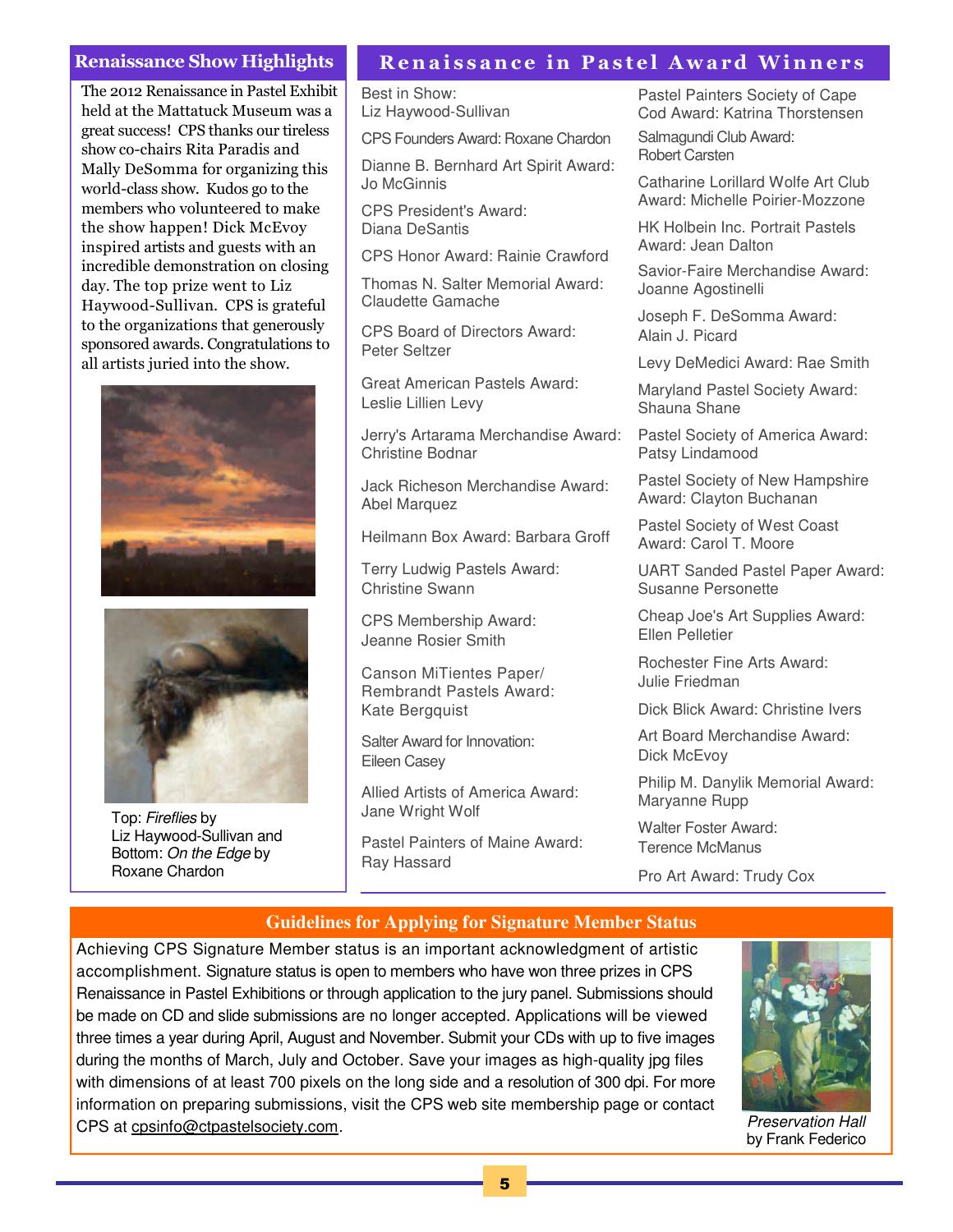#### Renaissance Show Highlights

The 2012 Renaissance in Pastel Exhibit held at the Mattatuck Museum was a great success! CPS thanks our tireless show co-chairs Rita Paradis and Mally DeSomma for organizing this world-class show. Kudos go to the members who volunteered to make the show happen! Dick McEvoy inspired artists and guests with an incredible demonstration on closing day. The top prize went to Liz Haywood-Sullivan. CPS is grateful to the organizations that generously sponsored awards. Congratulations to all artists juried into the show.





Top: Fireflies by Liz Haywood-Sullivan and Bottom: On the Edge by Roxane Chardon

## Renaissance in Pastel Award Winners

Best in Show: Liz Haywood-Sullivan

CPS Founders Award: Roxane Chardon

Dianne B. Bernhard Art Spirit Award: Jo McGinnis

CPS President's Award: Diana DeSantis

CPS Honor Award: Rainie Crawford

Thomas N. Salter Memorial Award: Claudette Gamache

CPS Board of Directors Award: Peter Seltzer

Great American Pastels Award: Leslie Lillien Levy

Jerry's Artarama Merchandise Award: Christine Bodnar

Jack Richeson Merchandise Award: Abel Marquez

Heilmann Box Award: Barbara Groff

Terry Ludwig Pastels Award: Christine Swann

CPS Membership Award: Jeanne Rosier Smith

Canson MiTientes Paper/ Rembrandt Pastels Award: Kate Bergquist

Salter Award for Innovation: Eileen Casey

Allied Artists of America Award: Jane Wright Wolf

Pastel Painters of Maine Award: Ray Hassard

Pastel Painters Society of Cape Cod Award: Katrina Thorstensen

Salmagundi Club Award: Robert Carsten

Catharine Lorillard Wolfe Art Club Award: Michelle Poirier-Mozzone

HK Holbein Inc. Portrait Pastels Award: Jean Dalton

Savior-Faire Merchandise Award: Joanne Agostinelli

Joseph F. DeSomma Award: Alain J. Picard

Levy DeMedici Award: Rae Smith

Maryland Pastel Society Award: Shauna Shane

Pastel Society of America Award: Patsy Lindamood

Pastel Society of New Hampshire Award: Clayton Buchanan

Pastel Society of West Coast Award: Carol T. Moore

UART Sanded Pastel Paper Award: Susanne Personette

Cheap Joe's Art Supplies Award: Ellen Pelletier

Rochester Fine Arts Award: Julie Friedman

Dick Blick Award: Christine Ivers

Art Board Merchandise Award: Dick McEvov

Philip M. Danylik Memorial Award: Maryanne Rupp

Walter Foster Award: Terence McManus

Pro Art Award: Trudy Cox

#### **Guidelines for Applying for Signature Member Status**

Achieving CPS Signature Member status is an important acknowledgment of artistic accomplishment. Signature status is open to members who have won three prizes in CPS Renaissance in Pastel Exhibitions or through application to the jury panel. Submissions should be made on CD and slide submissions are no longer accepted. Applications will be viewed three times a year during April, August and November. Submit your CDs with up to five images during the months of March, July and October. Save your images as high-quality jpg files with dimensions of at least 700 pixels on the long side and a resolution of 300 dpi. For more information on preparing submissions, visit the CPS web site membership page or contact CPS at cpsinfo@ctpastelsociety.com.



Preservation Hall by Frank Federico